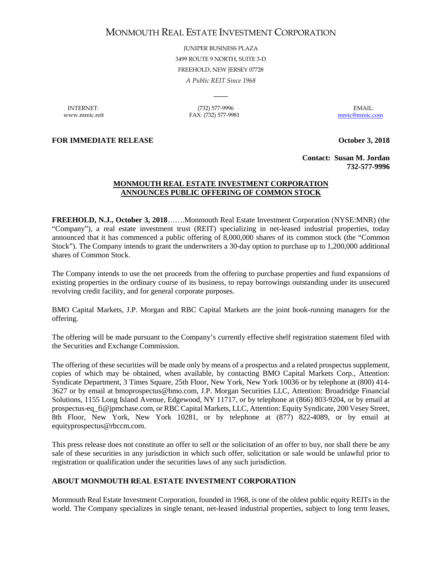## MONMOUTH REAL ESTATE INVESTMENT CORPORATION

JUNIPER BUSINESS PLAZA 3499 ROUTE 9 NORTH, SUITE 3-D FREEHOLD, NEW JERSEY 07728 *A Public REIT Since 1968*

 $\overline{\phantom{a}}$ 

INTERNET: (732) 577-9996 EMAIL: www.mreic.reit FAX: (732) 577-9981 [mreic@mreic.com](mailto:mreic@mreic.com)

**FOR IMMEDIATE RELEASE CONSERVERGE ASSESSED ASSESSED ASSESSED ASSESSED ASSESSED ASSESSED ASSESSED ASSESSED ASSESSED ASSESSED ASSESSED ASSESSED AND LOCAL AND LOCAL AND LOCAL AND LOCAL AND LOCAL AND LOCAL AND LOCAL AND LOC** 

**Contact: Susan M. Jordan 732-577-9996**

## **MONMOUTH REAL ESTATE INVESTMENT CORPORATION ANNOUNCES PUBLIC OFFERING OF COMMON STOCK**

**FREEHOLD, N.J., October 3, 2018**…….Monmouth Real Estate Investment Corporation (NYSE:MNR) (the "Company"), a real estate investment trust (REIT) specializing in net-leased industrial properties, today announced that it has commenced a public offering of 8,000,000 shares of its common stock (the "Common Stock"). The Company intends to grant the underwriters a 30-day option to purchase up to 1,200,000 additional shares of Common Stock.

The Company intends to use the net proceeds from the offering to purchase properties and fund expansions of existing properties in the ordinary course of its business, to repay borrowings outstanding under its unsecured revolving credit facility, and for general corporate purposes.

BMO Capital Markets, J.P. Morgan and RBC Capital Markets are the joint book-running managers for the offering.

The offering will be made pursuant to the Company's currently effective shelf registration statement filed with the Securities and Exchange Commission.

The offering of these securities will be made only by means of a prospectus and a related prospectus supplement, copies of which may be obtained, when available, by contacting BMO Capital Markets Corp., Attention: Syndicate Department, 3 Times Square, 25th Floor, New York, New York 10036 or by telephone at (800) 414- 3627 or by email at bmoprospectus@bmo.com, J.P. Morgan Securities LLC, Attention: Broadridge Financial Solutions, 1155 Long Island Avenue, Edgewood, NY 11717, or by telephone at (866) 803-9204, or by email at prospectus-eq\_fi@jpmchase.com, or RBC Capital Markets, LLC, Attention: Equity Syndicate, 200 Vesey Street, 8th Floor, New York, New York 10281, or by telephone at (877) 822-4089, or by email at equityprospectus@rbccm.com.

This press release does not constitute an offer to sell or the solicitation of an offer to buy, nor shall there be any sale of these securities in any jurisdiction in which such offer, solicitation or sale would be unlawful prior to registration or qualification under the securities laws of any such jurisdiction.

## **ABOUT MONMOUTH REAL ESTATE INVESTMENT CORPORATION**

Monmouth Real Estate Investment Corporation, founded in 1968, is one of the oldest public equity REITs in the world. The Company specializes in single tenant, net-leased industrial properties, subject to long term leases,